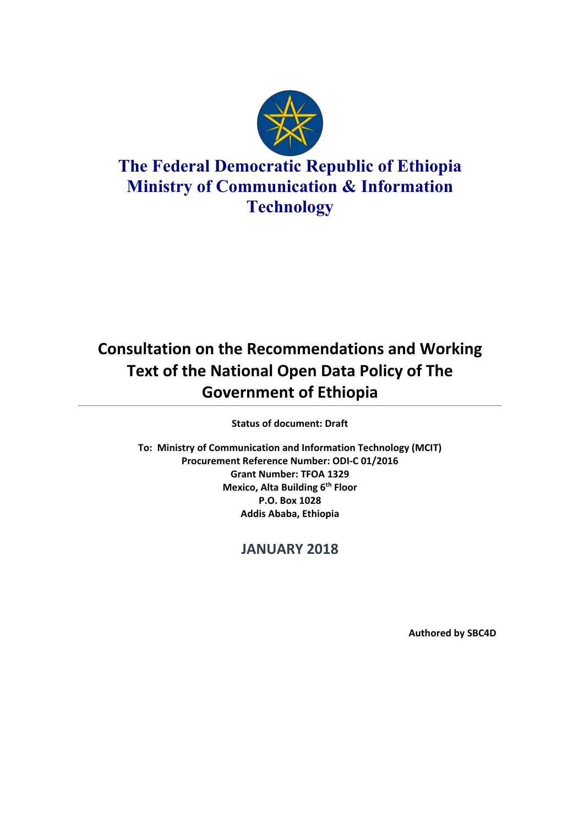

# **The Federal Democratic Republic of Ethiopia Ministry of Communication & Information Technology**

# **Consultation on the Recommendations and Working Text of the National Open Data Policy of The Government of Ethiopia**

**Status of document: Draft**

**To: Ministry of Communication and Information Technology (MCIT) Procurement Reference Number: ODI‐C 01/2016 Grant Number: TFOA 1329 Mexico, Alta Building 6<sup>th</sup> Floor P.O. Box 1028 Addis Ababa, Ethiopia** 

## **JANUARY 2018**

**Authored by SBC4D**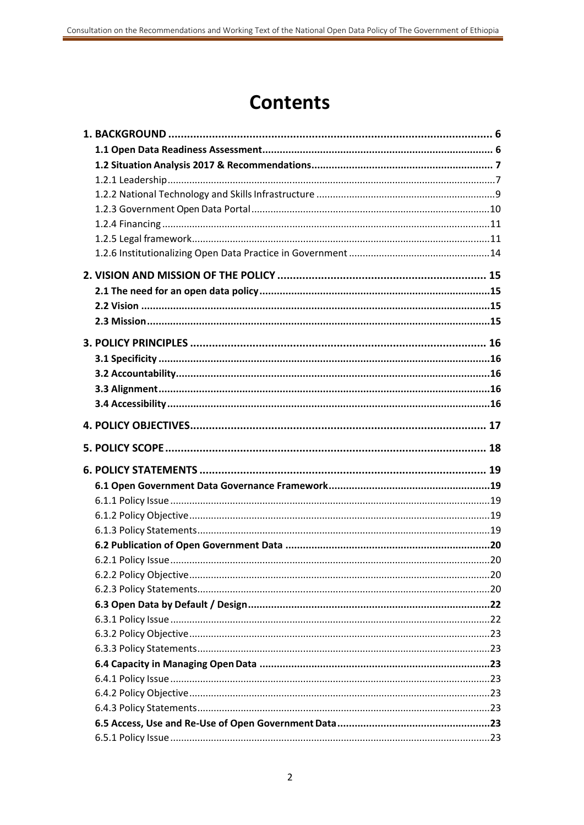# **Contents**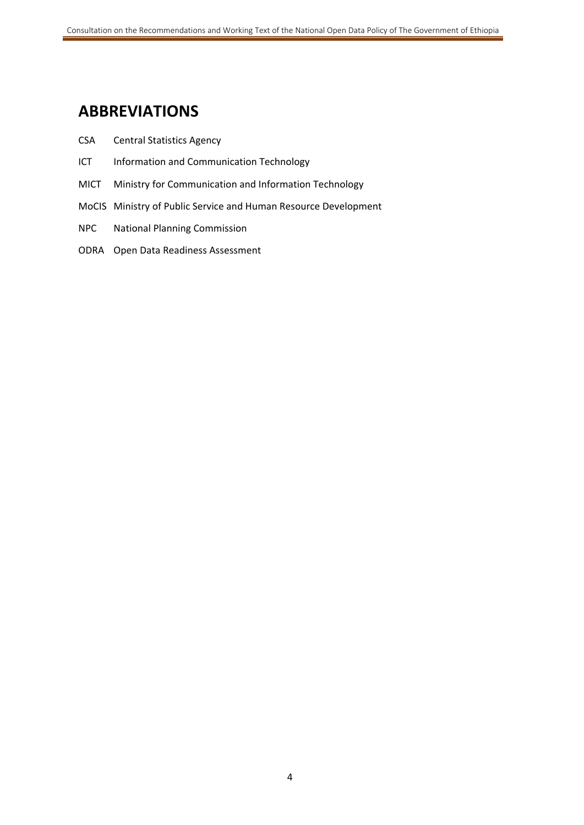## **ABBREVIATIONS**

- CSA Central Statistics Agency
- ICT Information and Communication Technology
- MICT Ministry for Communication and Information Technology
- MoCIS Ministry of Public Service and Human Resource Development
- NPC National Planning Commission
- ODRA Open Data Readiness Assessment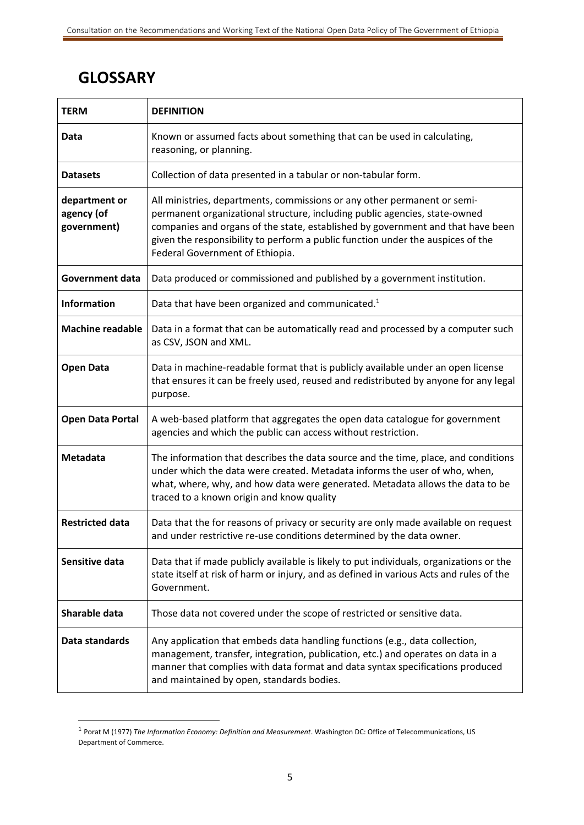# **GLOSSARY**

1

| <b>TERM</b>                                | <b>DEFINITION</b>                                                                                                                                                                                                                                                                                                                                               |
|--------------------------------------------|-----------------------------------------------------------------------------------------------------------------------------------------------------------------------------------------------------------------------------------------------------------------------------------------------------------------------------------------------------------------|
| Data                                       | Known or assumed facts about something that can be used in calculating,<br>reasoning, or planning.                                                                                                                                                                                                                                                              |
| <b>Datasets</b>                            | Collection of data presented in a tabular or non-tabular form.                                                                                                                                                                                                                                                                                                  |
| department or<br>agency (of<br>government) | All ministries, departments, commissions or any other permanent or semi-<br>permanent organizational structure, including public agencies, state-owned<br>companies and organs of the state, established by government and that have been<br>given the responsibility to perform a public function under the auspices of the<br>Federal Government of Ethiopia. |
| <b>Government data</b>                     | Data produced or commissioned and published by a government institution.                                                                                                                                                                                                                                                                                        |
| <b>Information</b>                         | Data that have been organized and communicated. <sup>1</sup>                                                                                                                                                                                                                                                                                                    |
| <b>Machine readable</b>                    | Data in a format that can be automatically read and processed by a computer such<br>as CSV, JSON and XML.                                                                                                                                                                                                                                                       |
| <b>Open Data</b>                           | Data in machine-readable format that is publicly available under an open license<br>that ensures it can be freely used, reused and redistributed by anyone for any legal<br>purpose.                                                                                                                                                                            |
| <b>Open Data Portal</b>                    | A web-based platform that aggregates the open data catalogue for government<br>agencies and which the public can access without restriction.                                                                                                                                                                                                                    |
| Metadata                                   | The information that describes the data source and the time, place, and conditions<br>under which the data were created. Metadata informs the user of who, when,<br>what, where, why, and how data were generated. Metadata allows the data to be<br>traced to a known origin and know quality                                                                  |
| <b>Restricted data</b>                     | Data that the for reasons of privacy or security are only made available on request<br>and under restrictive re-use conditions determined by the data owner.                                                                                                                                                                                                    |
| Sensitive data                             | Data that if made publicly available is likely to put individuals, organizations or the<br>state itself at risk of harm or injury, and as defined in various Acts and rules of the<br>Government.                                                                                                                                                               |
| Sharable data                              | Those data not covered under the scope of restricted or sensitive data.                                                                                                                                                                                                                                                                                         |
| Data standards                             | Any application that embeds data handling functions (e.g., data collection,<br>management, transfer, integration, publication, etc.) and operates on data in a<br>manner that complies with data format and data syntax specifications produced<br>and maintained by open, standards bodies.                                                                    |

<sup>1</sup> Porat M (1977) *The Information Economy: Definition and Measurement*. Washington DC: Office of Telecommunications, US Department of Commerce.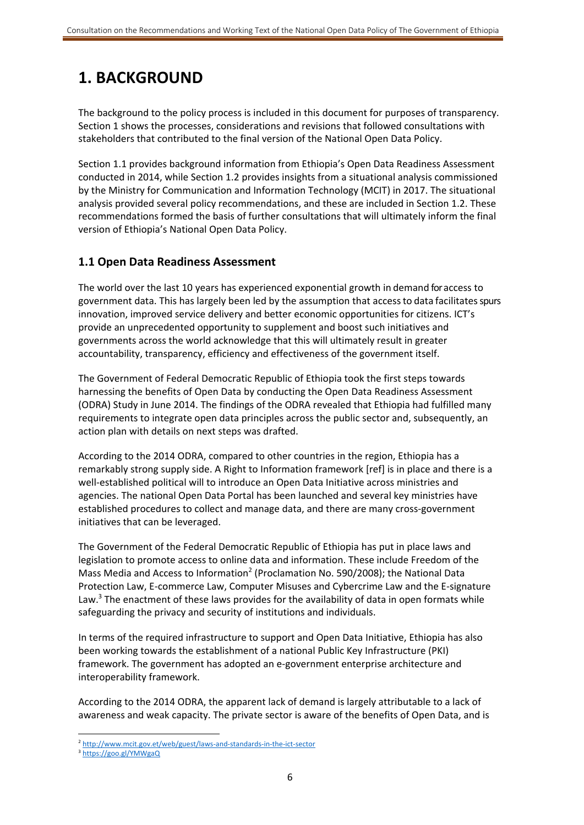## **1. BACKGROUND**

The background to the policy process is included in this document for purposes of transparency. Section 1 shows the processes, considerations and revisions that followed consultations with stakeholders that contributed to the final version of the National Open Data Policy.

Section 1.1 provides background information from Ethiopia's Open Data Readiness Assessment conducted in 2014, while Section 1.2 provides insights from a situational analysis commissioned by the Ministry for Communication and Information Technology (MCIT) in 2017. The situational analysis provided several policy recommendations, and these are included in Section 1.2. These recommendations formed the basis of further consultations that will ultimately inform the final version of Ethiopia's National Open Data Policy.

## **1.1 Open Data Readiness Assessment**

The world over the last 10 years has experienced exponential growth in demand for access to government data. This has largely been led by the assumption that access to data facilitates spurs innovation, improved service delivery and better economic opportunities for citizens. ICT's provide an unprecedented opportunity to supplement and boost such initiatives and governments across the world acknowledge that this will ultimately result in greater accountability, transparency, efficiency and effectiveness of the government itself.

The Government of Federal Democratic Republic of Ethiopia took the first steps towards harnessing the benefits of Open Data by conducting the Open Data Readiness Assessment (ODRA) Study in June 2014. The findings of the ODRA revealed that Ethiopia had fulfilled many requirements to integrate open data principles across the public sector and, subsequently, an action plan with details on next steps was drafted.

According to the 2014 ODRA, compared to other countries in the region, Ethiopia has a remarkably strong supply side. A Right to Information framework [ref] is in place and there is a well-established political will to introduce an Open Data Initiative across ministries and agencies. The national Open Data Portal has been launched and several key ministries have established procedures to collect and manage data, and there are many cross-government initiatives that can be leveraged.

The Government of the Federal Democratic Republic of Ethiopia has put in place laws and legislation to promote access to online data and information. These include Freedom of the Mass Media and Access to Information<sup>2</sup> (Proclamation No. 590/2008); the National Data Protection Law, E‐commerce Law, Computer Misuses and Cybercrime Law and the E‐signature Law.<sup>3</sup> The enactment of these laws provides for the availability of data in open formats while safeguarding the privacy and security of institutions and individuals.

In terms of the required infrastructure to support and Open Data Initiative, Ethiopia has also been working towards the establishment of a national Public Key Infrastructure (PKI) framework. The government has adopted an e‐government enterprise architecture and interoperability framework.

According to the 2014 ODRA, the apparent lack of demand is largely attributable to a lack of awareness and weak capacity. The private sector is aware of the benefits of Open Data, and is

<sup>-</sup><sup>2</sup> http://www.mcit.gov.et/web/guest/laws-and-standards-in-the-ict-sector

<sup>3</sup> https://goo.gl/YMWgaQ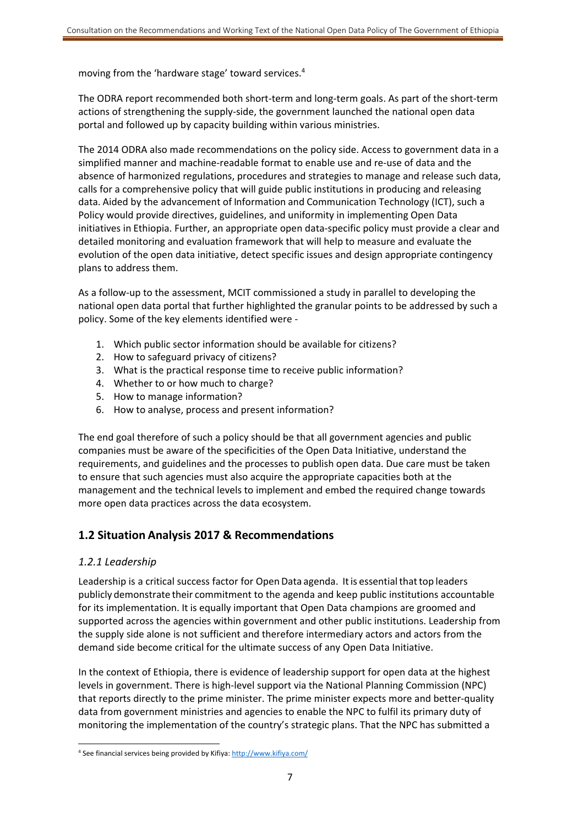moving from the 'hardware stage' toward services.4

The ODRA report recommended both short-term and long-term goals. As part of the short-term actions of strengthening the supply‐side, the government launched the national open data portal and followed up by capacity building within various ministries.

The 2014 ODRA also made recommendations on the policy side. Access to government data in a simplified manner and machine‐readable format to enable use and re‐use of data and the absence of harmonized regulations, procedures and strategies to manage and release such data, calls for a comprehensive policy that will guide public institutions in producing and releasing data. Aided by the advancement of Information and Communication Technology (ICT), such a Policy would provide directives, guidelines, and uniformity in implementing Open Data initiatives in Ethiopia. Further, an appropriate open data‐specific policy must provide a clear and detailed monitoring and evaluation framework that will help to measure and evaluate the evolution of the open data initiative, detect specific issues and design appropriate contingency plans to address them.

As a follow‐up to the assessment, MCIT commissioned a study in parallel to developing the national open data portal that further highlighted the granular points to be addressed by such a policy. Some of the key elements identified were ‐

- 1. Which public sector information should be available for citizens?
- 2. How to safeguard privacy of citizens?
- 3. What is the practical response time to receive public information?
- 4. Whether to or how much to charge?
- 5. How to manage information?
- 6. How to analyse, process and present information?

The end goal therefore of such a policy should be that all government agencies and public companies must be aware of the specificities of the Open Data Initiative, understand the requirements, and guidelines and the processes to publish open data. Due care must be taken to ensure that such agencies must also acquire the appropriate capacities both at the management and the technical levels to implement and embed the required change towards more open data practices across the data ecosystem.

## **1.2 Situation Analysis 2017 & Recommendations**

## *1.2.1 Leadership*

Leadership is a critical success factor for Open Data agenda. It is essential that top leaders publicly demonstrate their commitment to the agenda and keep public institutions accountable for its implementation. It is equally important that Open Data champions are groomed and supported across the agencies within government and other public institutions. Leadership from the supply side alone is not sufficient and therefore intermediary actors and actors from the demand side become critical for the ultimate success of any Open Data Initiative.

In the context of Ethiopia, there is evidence of leadership support for open data at the highest levels in government. There is high-level support via the National Planning Commission (NPC) that reports directly to the prime minister. The prime minister expects more and better‐quality data from government ministries and agencies to enable the NPC to fulfil its primary duty of monitoring the implementation of the country's strategic plans. That the NPC has submitted a

<sup>-</sup><sup>4</sup> See financial services being provided by Kifiya: http://www.kifiya.com/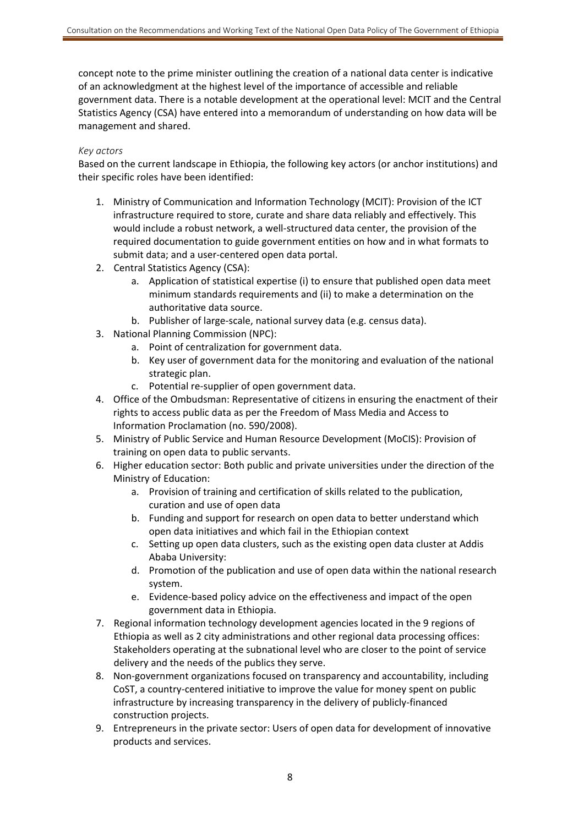concept note to the prime minister outlining the creation of a national data center is indicative of an acknowledgment at the highest level of the importance of accessible and reliable government data. There is a notable development at the operational level: MCIT and the Central Statistics Agency (CSA) have entered into a memorandum of understanding on how data will be management and shared.

#### *Key actors*

Based on the current landscape in Ethiopia, the following key actors (or anchor institutions) and their specific roles have been identified:

- 1. Ministry of Communication and Information Technology (MCIT): Provision of the ICT infrastructure required to store, curate and share data reliably and effectively. This would include a robust network, a well‐structured data center, the provision of the required documentation to guide government entities on how and in what formats to submit data; and a user‐centered open data portal.
- 2. Central Statistics Agency (CSA):
	- a. Application of statistical expertise (i) to ensure that published open data meet minimum standards requirements and (ii) to make a determination on the authoritative data source.
	- b. Publisher of large‐scale, national survey data (e.g. census data).
- 3. National Planning Commission (NPC):
	- a. Point of centralization for government data.
	- b. Key user of government data for the monitoring and evaluation of the national strategic plan.
	- c. Potential re‐supplier of open government data.
- 4. Office of the Ombudsman: Representative of citizens in ensuring the enactment of their rights to access public data as per the Freedom of Mass Media and Access to Information Proclamation (no. 590/2008).
- 5. Ministry of Public Service and Human Resource Development (MoCIS): Provision of training on open data to public servants.
- 6. Higher education sector: Both public and private universities under the direction of the Ministry of Education:
	- a. Provision of training and certification of skills related to the publication, curation and use of open data
	- b. Funding and support for research on open data to better understand which open data initiatives and which fail in the Ethiopian context
	- c. Setting up open data clusters, such as the existing open data cluster at Addis Ababa University:
	- d. Promotion of the publication and use of open data within the national research system.
	- e. Evidence‐based policy advice on the effectiveness and impact of the open government data in Ethiopia.
- 7. Regional information technology development agencies located in the 9 regions of Ethiopia as well as 2 city administrations and other regional data processing offices: Stakeholders operating at the subnational level who are closer to the point of service delivery and the needs of the publics they serve.
- 8. Non‐government organizations focused on transparency and accountability, including CoST, a country‐centered initiative to improve the value for money spent on public infrastructure by increasing transparency in the delivery of publicly‐financed construction projects.
- 9. Entrepreneurs in the private sector: Users of open data for development of innovative products and services.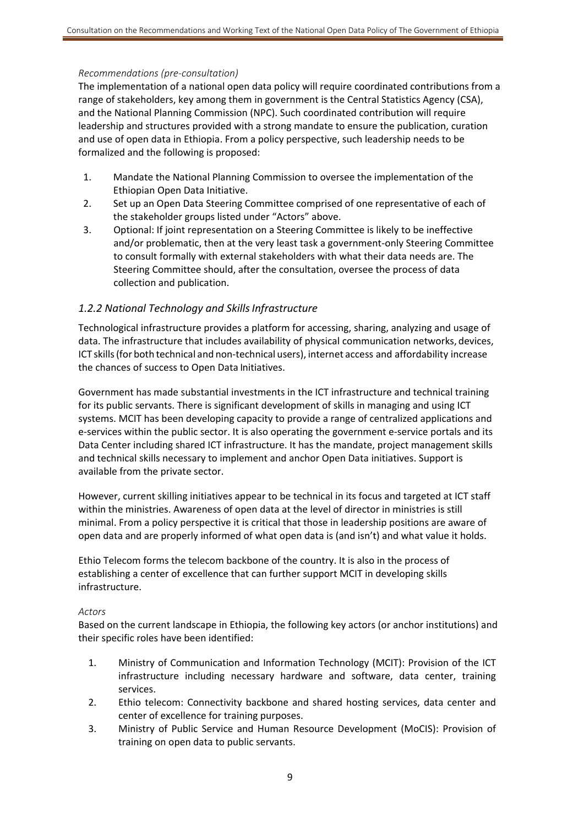#### *Recommendations (pre‐consultation)*

The implementation of a national open data policy will require coordinated contributions from a range of stakeholders, key among them in government is the Central Statistics Agency (CSA), and the National Planning Commission (NPC). Such coordinated contribution will require leadership and structures provided with a strong mandate to ensure the publication, curation and use of open data in Ethiopia. From a policy perspective, such leadership needs to be formalized and the following is proposed:

- 1. Mandate the National Planning Commission to oversee the implementation of the Ethiopian Open Data Initiative.
- 2. Set up an Open Data Steering Committee comprised of one representative of each of the stakeholder groups listed under "Actors" above.
- 3. Optional: If joint representation on a Steering Committee is likely to be ineffective and/or problematic, then at the very least task a government-only Steering Committee to consult formally with external stakeholders with what their data needs are. The Steering Committee should, after the consultation, oversee the process of data collection and publication.

#### *1.2.2 National Technology and Skills Infrastructure*

Technological infrastructure provides a platform for accessing, sharing, analyzing and usage of data. The infrastructure that includes availability of physical communication networks, devices, ICT skills (for both technical and non‐technical users), internet access and affordability increase the chances of success to Open Data Initiatives.

Government has made substantial investments in the ICT infrastructure and technical training for its public servants. There is significant development of skills in managing and using ICT systems. MCIT has been developing capacity to provide a range of centralized applications and e-services within the public sector. It is also operating the government e-service portals and its Data Center including shared ICT infrastructure. It has the mandate, project management skills and technical skills necessary to implement and anchor Open Data initiatives. Support is available from the private sector.

However, current skilling initiatives appear to be technical in its focus and targeted at ICT staff within the ministries. Awareness of open data at the level of director in ministries is still minimal. From a policy perspective it is critical that those in leadership positions are aware of open data and are properly informed of what open data is (and isn't) and what value it holds.

Ethio Telecom forms the telecom backbone of the country. It is also in the process of establishing a center of excellence that can further support MCIT in developing skills infrastructure.

#### *Actors*

Based on the current landscape in Ethiopia, the following key actors (or anchor institutions) and their specific roles have been identified:

- 1. Ministry of Communication and Information Technology (MCIT): Provision of the ICT infrastructure including necessary hardware and software, data center, training services.
- 2. Ethio telecom: Connectivity backbone and shared hosting services, data center and center of excellence for training purposes.
- 3. Ministry of Public Service and Human Resource Development (MoCIS): Provision of training on open data to public servants.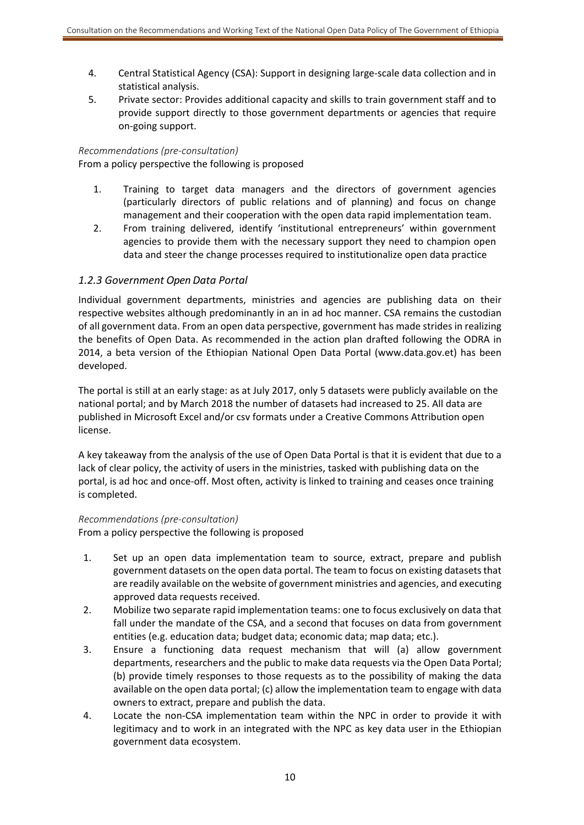- 4. Central Statistical Agency (CSA): Support in designing large‐scale data collection and in statistical analysis.
- 5. Private sector: Provides additional capacity and skills to train government staff and to provide support directly to those government departments or agencies that require on‐going support.

#### *Recommendations (pre‐consultation)*

From a policy perspective the following is proposed

- 1. Training to target data managers and the directors of government agencies (particularly directors of public relations and of planning) and focus on change management and their cooperation with the open data rapid implementation team.
- 2. From training delivered, identify 'institutional entrepreneurs' within government agencies to provide them with the necessary support they need to champion open data and steer the change processes required to institutionalize open data practice

#### *1.2.3 Government Open Data Portal*

Individual government departments, ministries and agencies are publishing data on their respective websites although predominantly in an in ad hoc manner. CSA remains the custodian of all government data. From an open data perspective, government has made strides in realizing the benefits of Open Data. As recommended in the action plan drafted following the ODRA in 2014, a beta version of the Ethiopian National Open Data Portal (www.data.gov.et) has been developed.

The portal is still at an early stage: as at July 2017, only 5 datasets were publicly available on the national portal; and by March 2018 the number of datasets had increased to 25. All data are published in Microsoft Excel and/or csv formats under a Creative Commons Attribution open license.

A key takeaway from the analysis of the use of Open Data Portal is that it is evident that due to a lack of clear policy, the activity of users in the ministries, tasked with publishing data on the portal, is ad hoc and once-off. Most often, activity is linked to training and ceases once training is completed.

#### *Recommendations (pre‐consultation)*

From a policy perspective the following is proposed

- 1. Set up an open data implementation team to source, extract, prepare and publish government datasets on the open data portal. The team to focus on existing datasets that are readily available on the website of government ministries and agencies, and executing approved data requests received.
- 2. Mobilize two separate rapid implementation teams: one to focus exclusively on data that fall under the mandate of the CSA, and a second that focuses on data from government entities (e.g. education data; budget data; economic data; map data; etc.).
- 3. Ensure a functioning data request mechanism that will (a) allow government departments, researchers and the public to make data requests via the Open Data Portal; (b) provide timely responses to those requests as to the possibility of making the data available on the open data portal; (c) allow the implementation team to engage with data owners to extract, prepare and publish the data.
- 4. Locate the non-CSA implementation team within the NPC in order to provide it with legitimacy and to work in an integrated with the NPC as key data user in the Ethiopian government data ecosystem.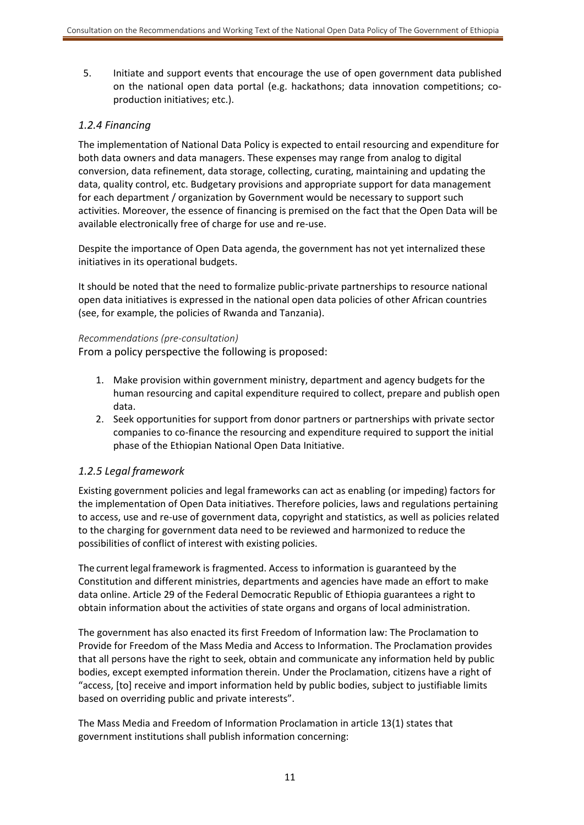5. Initiate and support events that encourage the use of open government data published on the national open data portal (e.g. hackathons; data innovation competitions; co‐ production initiatives; etc.).

## *1.2.4 Financing*

The implementation of National Data Policy is expected to entail resourcing and expenditure for both data owners and data managers. These expenses may range from analog to digital conversion, data refinement, data storage, collecting, curating, maintaining and updating the data, quality control, etc. Budgetary provisions and appropriate support for data management for each department / organization by Government would be necessary to support such activities. Moreover, the essence of financing is premised on the fact that the Open Data will be available electronically free of charge for use and re‐use.

Despite the importance of Open Data agenda, the government has not yet internalized these initiatives in its operational budgets.

It should be noted that the need to formalize public‐private partnerships to resource national open data initiatives is expressed in the national open data policies of other African countries (see, for example, the policies of Rwanda and Tanzania).

#### *Recommendations (pre‐consultation)*

From a policy perspective the following is proposed:

- 1. Make provision within government ministry, department and agency budgets for the human resourcing and capital expenditure required to collect, prepare and publish open data.
- 2. Seek opportunities for support from donor partners or partnerships with private sector companies to co-finance the resourcing and expenditure required to support the initial phase of the Ethiopian National Open Data Initiative.

## *1.2.5 Legal framework*

Existing government policies and legal frameworks can act as enabling (or impeding) factors for the implementation of Open Data initiatives. Therefore policies, laws and regulations pertaining to access, use and re‐use of government data, copyright and statistics, as well as policies related to the charging for government data need to be reviewed and harmonized to reduce the possibilities of conflict of interest with existing policies.

The current legal framework is fragmented. Access to information is guaranteed by the Constitution and different ministries, departments and agencies have made an effort to make data online. Article 29 of the Federal Democratic Republic of Ethiopia guarantees a right to obtain information about the activities of state organs and organs of local administration.

The government has also enacted its first Freedom of Information law: The Proclamation to Provide for Freedom of the Mass Media and Access to Information. The Proclamation provides that all persons have the right to seek, obtain and communicate any information held by public bodies, except exempted information therein. Under the Proclamation, citizens have a right of "access, [to] receive and import information held by public bodies, subject to justifiable limits based on overriding public and private interests".

The Mass Media and Freedom of Information Proclamation in article 13(1) states that government institutions shall publish information concerning: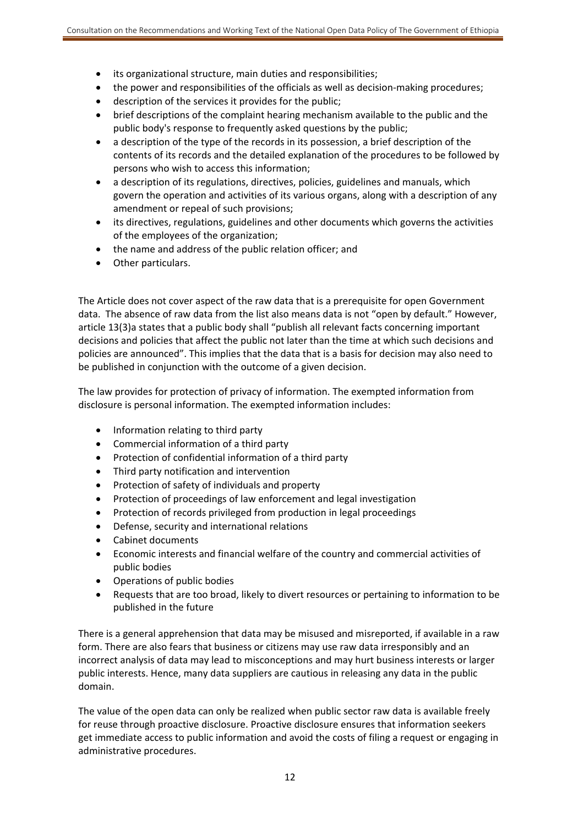- its organizational structure, main duties and responsibilities;
- the power and responsibilities of the officials as well as decision-making procedures;
- description of the services it provides for the public;
- brief descriptions of the complaint hearing mechanism available to the public and the public body's response to frequently asked questions by the public;
- a description of the type of the records in its possession, a brief description of the contents of its records and the detailed explanation of the procedures to be followed by persons who wish to access this information;
- a description of its regulations, directives, policies, guidelines and manuals, which govern the operation and activities of its various organs, along with a description of any amendment or repeal of such provisions;
- its directives, regulations, guidelines and other documents which governs the activities of the employees of the organization;
- the name and address of the public relation officer; and
- Other particulars.

The Article does not cover aspect of the raw data that is a prerequisite for open Government data. The absence of raw data from the list also means data is not "open by default." However, article 13(3)a states that a public body shall "publish all relevant facts concerning important decisions and policies that affect the public not later than the time at which such decisions and policies are announced". This implies that the data that is a basis for decision may also need to be published in conjunction with the outcome of a given decision.

The law provides for protection of privacy of information. The exempted information from disclosure is personal information. The exempted information includes:

- Information relating to third party
- Commercial information of a third party
- Protection of confidential information of a third party
- Third party notification and intervention
- Protection of safety of individuals and property
- Protection of proceedings of law enforcement and legal investigation
- Protection of records privileged from production in legal proceedings
- Defense, security and international relations
- Cabinet documents
- Economic interests and financial welfare of the country and commercial activities of public bodies
- Operations of public bodies
- Requests that are too broad, likely to divert resources or pertaining to information to be published in the future

There is a general apprehension that data may be misused and misreported, if available in a raw form. There are also fears that business or citizens may use raw data irresponsibly and an incorrect analysis of data may lead to misconceptions and may hurt business interests or larger public interests. Hence, many data suppliers are cautious in releasing any data in the public domain.

The value of the open data can only be realized when public sector raw data is available freely for reuse through proactive disclosure. Proactive disclosure ensures that information seekers get immediate access to public information and avoid the costs of filing a request or engaging in administrative procedures.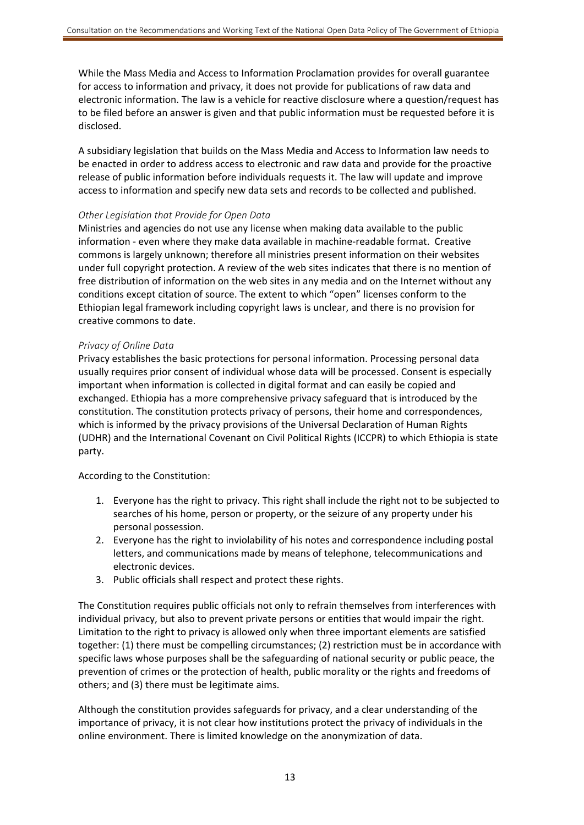While the Mass Media and Access to Information Proclamation provides for overall guarantee for access to information and privacy, it does not provide for publications of raw data and electronic information. The law is a vehicle for reactive disclosure where a question/request has to be filed before an answer is given and that public information must be requested before it is disclosed.

A subsidiary legislation that builds on the Mass Media and Access to Information law needs to be enacted in order to address access to electronic and raw data and provide for the proactive release of public information before individuals requests it. The law will update and improve access to information and specify new data sets and records to be collected and published.

#### *Other Legislation that Provide for Open Data*

Ministries and agencies do not use any license when making data available to the public information - even where they make data available in machine-readable format. Creative commons is largely unknown; therefore all ministries present information on their websites under full copyright protection. A review of the web sites indicates that there is no mention of free distribution of information on the web sites in any media and on the Internet without any conditions except citation of source. The extent to which "open" licenses conform to the Ethiopian legal framework including copyright laws is unclear, and there is no provision for creative commons to date.

#### *Privacy of Online Data*

Privacy establishes the basic protections for personal information. Processing personal data usually requires prior consent of individual whose data will be processed. Consent is especially important when information is collected in digital format and can easily be copied and exchanged. Ethiopia has a more comprehensive privacy safeguard that is introduced by the constitution. The constitution protects privacy of persons, their home and correspondences, which is informed by the privacy provisions of the Universal Declaration of Human Rights (UDHR) and the International Covenant on Civil Political Rights (ICCPR) to which Ethiopia is state party.

According to the Constitution:

- 1. Everyone has the right to privacy. This right shall include the right not to be subjected to searches of his home, person or property, or the seizure of any property under his personal possession.
- 2. Everyone has the right to inviolability of his notes and correspondence including postal letters, and communications made by means of telephone, telecommunications and electronic devices.
- 3. Public officials shall respect and protect these rights.

The Constitution requires public officials not only to refrain themselves from interferences with individual privacy, but also to prevent private persons or entities that would impair the right. Limitation to the right to privacy is allowed only when three important elements are satisfied together: (1) there must be compelling circumstances; (2) restriction must be in accordance with specific laws whose purposes shall be the safeguarding of national security or public peace, the prevention of crimes or the protection of health, public morality or the rights and freedoms of others; and (3) there must be legitimate aims.

Although the constitution provides safeguards for privacy, and a clear understanding of the importance of privacy, it is not clear how institutions protect the privacy of individuals in the online environment. There is limited knowledge on the anonymization of data.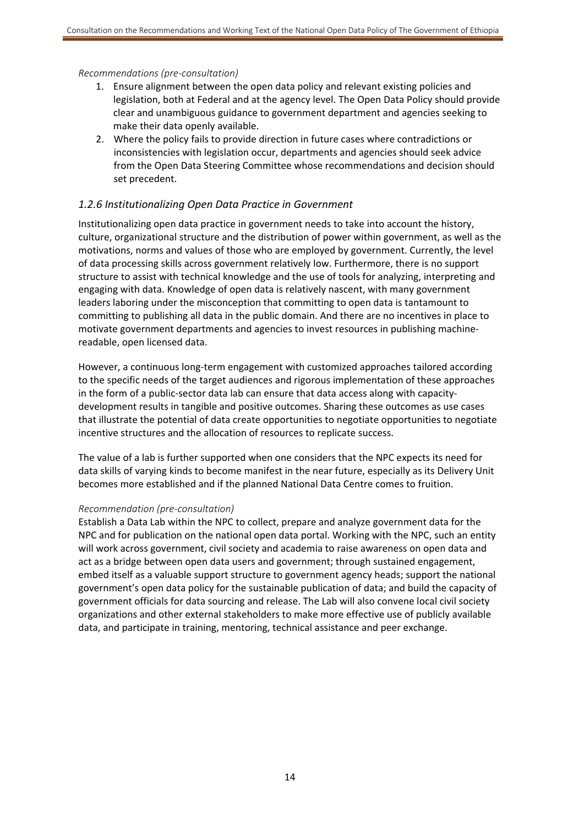#### *Recommendations (pre‐consultation)*

- 1. Ensure alignment between the open data policy and relevant existing policies and legislation, both at Federal and at the agency level. The Open Data Policy should provide clear and unambiguous guidance to government department and agencies seeking to make their data openly available.
- 2. Where the policy fails to provide direction in future cases where contradictions or inconsistencies with legislation occur, departments and agencies should seek advice from the Open Data Steering Committee whose recommendations and decision should set precedent.

#### *1.2.6 Institutionalizing Open Data Practice in Government*

Institutionalizing open data practice in government needs to take into account the history, culture, organizational structure and the distribution of power within government, as well as the motivations, norms and values of those who are employed by government. Currently, the level of data processing skills across government relatively low. Furthermore, there is no support structure to assist with technical knowledge and the use of tools for analyzing, interpreting and engaging with data. Knowledge of open data is relatively nascent, with many government leaders laboring under the misconception that committing to open data is tantamount to committing to publishing all data in the public domain. And there are no incentives in place to motivate government departments and agencies to invest resources in publishing machine‐ readable, open licensed data.

However, a continuous long‐term engagement with customized approaches tailored according to the specific needs of the target audiences and rigorous implementation of these approaches in the form of a public-sector data lab can ensure that data access along with capacitydevelopment results in tangible and positive outcomes. Sharing these outcomes as use cases that illustrate the potential of data create opportunities to negotiate opportunities to negotiate incentive structures and the allocation of resources to replicate success.

The value of a lab is further supported when one considers that the NPC expects its need for data skills of varying kinds to become manifest in the near future, especially as its Delivery Unit becomes more established and if the planned National Data Centre comes to fruition.

#### *Recommendation (pre‐consultation)*

Establish a Data Lab within the NPC to collect, prepare and analyze government data for the NPC and for publication on the national open data portal. Working with the NPC, such an entity will work across government, civil society and academia to raise awareness on open data and act as a bridge between open data users and government; through sustained engagement, embed itself as a valuable support structure to government agency heads; support the national government's open data policy for the sustainable publication of data; and build the capacity of government officials for data sourcing and release. The Lab will also convene local civil society organizations and other external stakeholders to make more effective use of publicly available data, and participate in training, mentoring, technical assistance and peer exchange.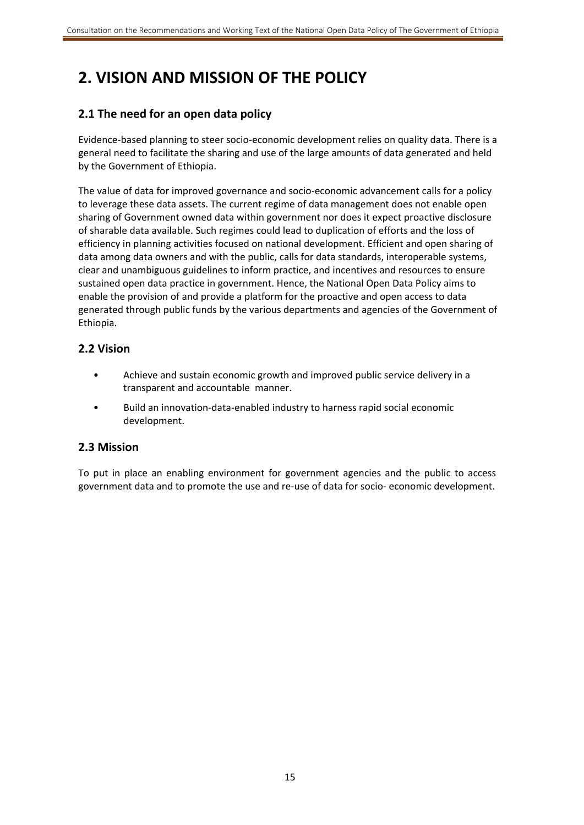# **2. VISION AND MISSION OF THE POLICY**

## **2.1 The need for an open data policy**

Evidence‐based planning to steer socio‐economic development relies on quality data. There is a general need to facilitate the sharing and use of the large amounts of data generated and held by the Government of Ethiopia.

The value of data for improved governance and socio‐economic advancement calls for a policy to leverage these data assets. The current regime of data management does not enable open sharing of Government owned data within government nor does it expect proactive disclosure of sharable data available. Such regimes could lead to duplication of efforts and the loss of efficiency in planning activities focused on national development. Efficient and open sharing of data among data owners and with the public, calls for data standards, interoperable systems, clear and unambiguous guidelines to inform practice, and incentives and resources to ensure sustained open data practice in government. Hence, the National Open Data Policy aims to enable the provision of and provide a platform for the proactive and open access to data generated through public funds by the various departments and agencies of the Government of Ethiopia.

## **2.2 Vision**

- Achieve and sustain economic growth and improved public service delivery in a transparent and accountable manner.
- Build an innovation‐data‐enabled industry to harness rapid social economic development.

## **2.3 Mission**

To put in place an enabling environment for government agencies and the public to access government data and to promote the use and re‐use of data for socio‐ economic development.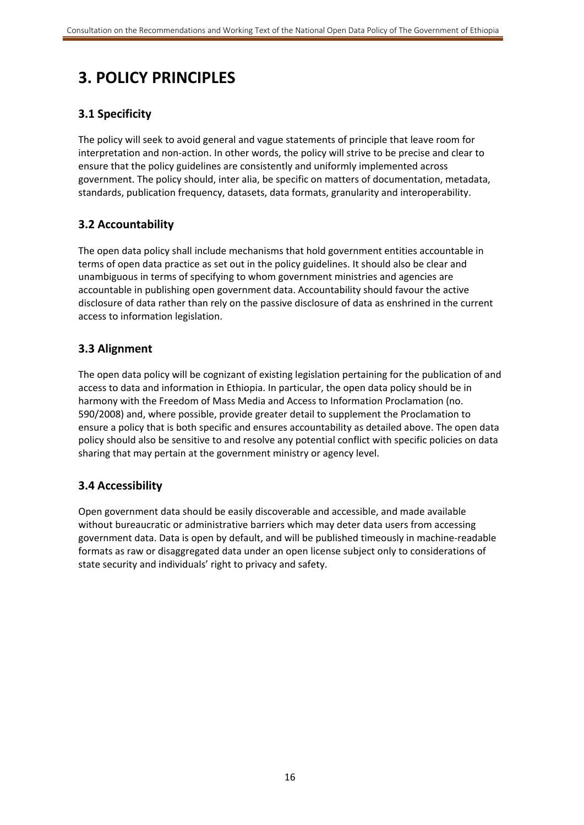## **3. POLICY PRINCIPLES**

## **3.1 Specificity**

The policy will seek to avoid general and vague statements of principle that leave room for interpretation and non‐action. In other words, the policy will strive to be precise and clear to ensure that the policy guidelines are consistently and uniformly implemented across government. The policy should, inter alia, be specific on matters of documentation, metadata, standards, publication frequency, datasets, data formats, granularity and interoperability.

## **3.2 Accountability**

The open data policy shall include mechanisms that hold government entities accountable in terms of open data practice as set out in the policy guidelines. It should also be clear and unambiguous in terms of specifying to whom government ministries and agencies are accountable in publishing open government data. Accountability should favour the active disclosure of data rather than rely on the passive disclosure of data as enshrined in the current access to information legislation.

## **3.3 Alignment**

The open data policy will be cognizant of existing legislation pertaining for the publication of and access to data and information in Ethiopia. In particular, the open data policy should be in harmony with the Freedom of Mass Media and Access to Information Proclamation (no. 590/2008) and, where possible, provide greater detail to supplement the Proclamation to ensure a policy that is both specific and ensures accountability as detailed above. The open data policy should also be sensitive to and resolve any potential conflict with specific policies on data sharing that may pertain at the government ministry or agency level.

## **3.4 Accessibility**

Open government data should be easily discoverable and accessible, and made available without bureaucratic or administrative barriers which may deter data users from accessing government data. Data is open by default, and will be published timeously in machine‐readable formats as raw or disaggregated data under an open license subject only to considerations of state security and individuals' right to privacy and safety.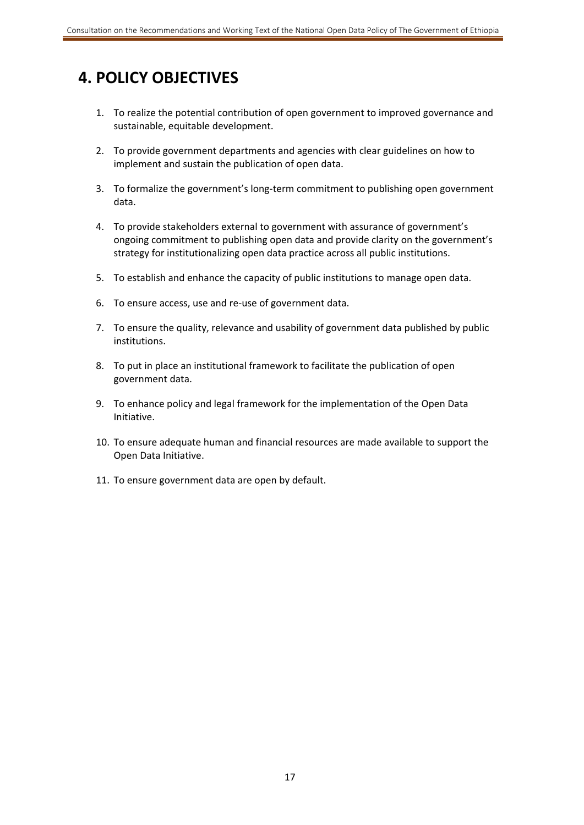## **4. POLICY OBJECTIVES**

- 1. To realize the potential contribution of open government to improved governance and sustainable, equitable development.
- 2. To provide government departments and agencies with clear guidelines on how to implement and sustain the publication of open data.
- 3. To formalize the government's long-term commitment to publishing open government data.
- 4. To provide stakeholders external to government with assurance of government's ongoing commitment to publishing open data and provide clarity on the government's strategy for institutionalizing open data practice across all public institutions.
- 5. To establish and enhance the capacity of public institutions to manage open data.
- 6. To ensure access, use and re‐use of government data.
- 7. To ensure the quality, relevance and usability of government data published by public institutions.
- 8. To put in place an institutional framework to facilitate the publication of open government data.
- 9. To enhance policy and legal framework for the implementation of the Open Data Initiative.
- 10. To ensure adequate human and financial resources are made available to support the Open Data Initiative.
- 11. To ensure government data are open by default.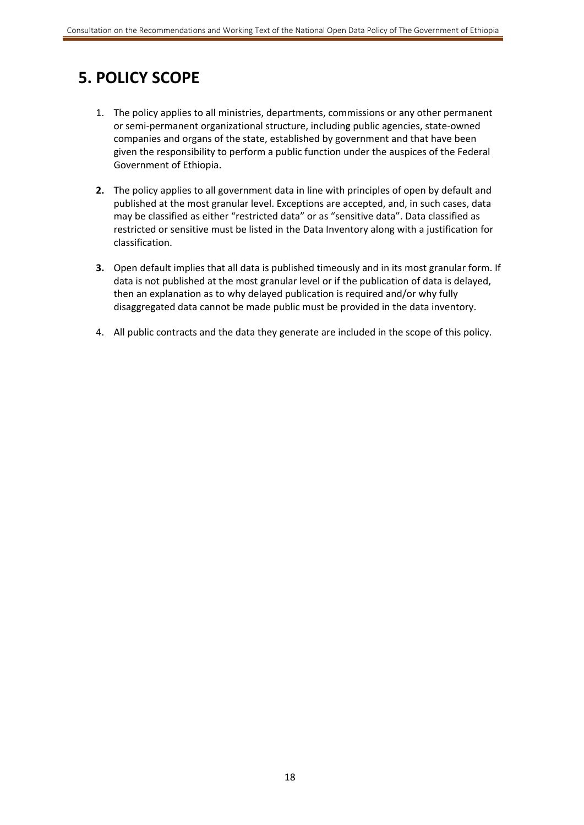## **5. POLICY SCOPE**

- 1. The policy applies to all ministries, departments, commissions or any other permanent or semi‐permanent organizational structure, including public agencies, state‐owned companies and organs of the state, established by government and that have been given the responsibility to perform a public function under the auspices of the Federal Government of Ethiopia.
- **2.** The policy applies to all government data in line with principles of open by default and published at the most granular level. Exceptions are accepted, and, in such cases, data may be classified as either "restricted data" or as "sensitive data". Data classified as restricted or sensitive must be listed in the Data Inventory along with a justification for classification.
- **3.** Open default implies that all data is published timeously and in its most granular form. If data is not published at the most granular level or if the publication of data is delayed, then an explanation as to why delayed publication is required and/or why fully disaggregated data cannot be made public must be provided in the data inventory.
- 4. All public contracts and the data they generate are included in the scope of this policy.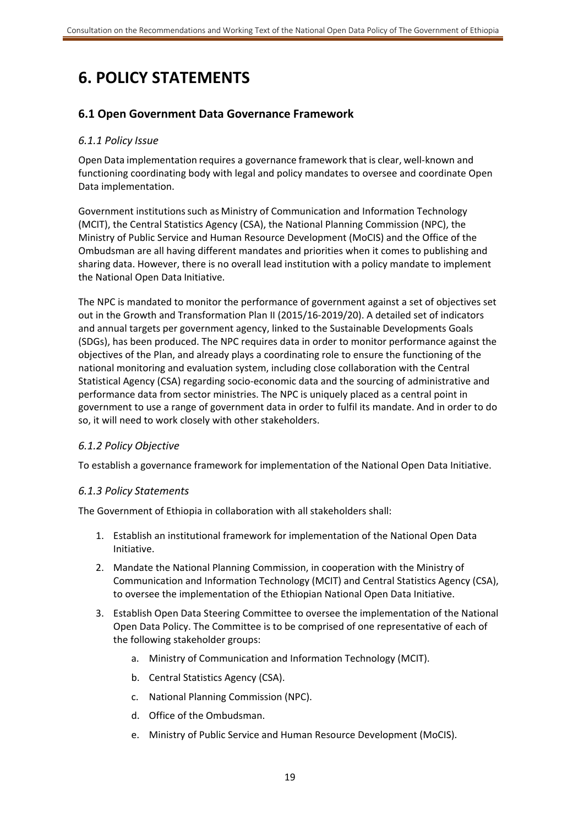# **6. POLICY STATEMENTS**

## **6.1 Open Government Data Governance Framework**

#### *6.1.1 Policy Issue*

Open Data implementation requires a governance framework that is clear, well‐known and functioning coordinating body with legal and policy mandates to oversee and coordinate Open Data implementation.

Government institutions such as Ministry of Communication and Information Technology (MCIT), the Central Statistics Agency (CSA), the National Planning Commission (NPC), the Ministry of Public Service and Human Resource Development (MoCIS) and the Office of the Ombudsman are all having different mandates and priorities when it comes to publishing and sharing data. However, there is no overall lead institution with a policy mandate to implement the National Open Data Initiative.

The NPC is mandated to monitor the performance of government against a set of objectives set out in the Growth and Transformation Plan II (2015/16‐2019/20). A detailed set of indicators and annual targets per government agency, linked to the Sustainable Developments Goals (SDGs), has been produced. The NPC requires data in order to monitor performance against the objectives of the Plan, and already plays a coordinating role to ensure the functioning of the national monitoring and evaluation system, including close collaboration with the Central Statistical Agency (CSA) regarding socio‐economic data and the sourcing of administrative and performance data from sector ministries. The NPC is uniquely placed as a central point in government to use a range of government data in order to fulfil its mandate. And in order to do so, it will need to work closely with other stakeholders.

#### *6.1.2 Policy Objective*

To establish a governance framework for implementation of the National Open Data Initiative.

#### *6.1.3 Policy Statements*

The Government of Ethiopia in collaboration with all stakeholders shall:

- 1. Establish an institutional framework for implementation of the National Open Data Initiative.
- 2. Mandate the National Planning Commission, in cooperation with the Ministry of Communication and Information Technology (MCIT) and Central Statistics Agency (CSA), to oversee the implementation of the Ethiopian National Open Data Initiative.
- 3. Establish Open Data Steering Committee to oversee the implementation of the National Open Data Policy. The Committee is to be comprised of one representative of each of the following stakeholder groups:
	- a. Ministry of Communication and Information Technology (MCIT).
	- b. Central Statistics Agency (CSA).
	- c. National Planning Commission (NPC).
	- d. Office of the Ombudsman.
	- e. Ministry of Public Service and Human Resource Development (MoCIS).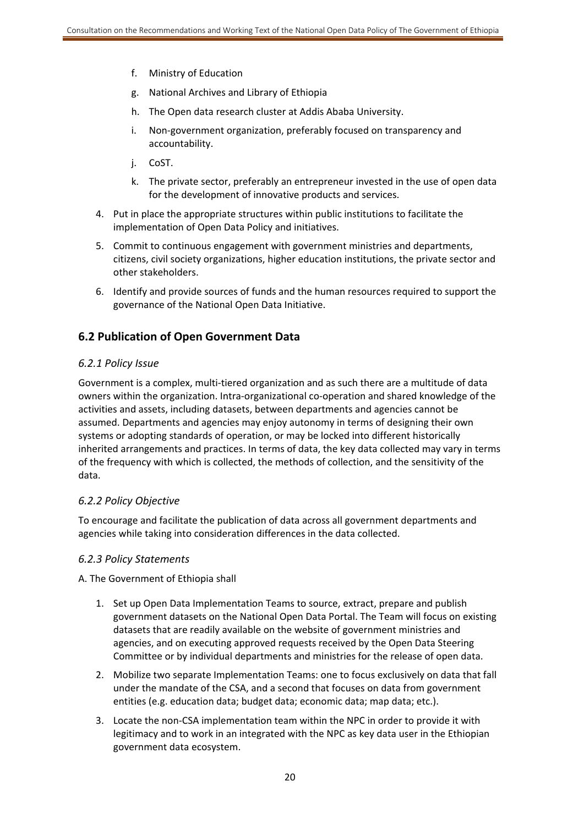- f. Ministry of Education
- g. National Archives and Library of Ethiopia
- h. The Open data research cluster at Addis Ababa University.
- i. Non‐government organization, preferably focused on transparency and accountability.
- j. CoST.
- k. The private sector, preferably an entrepreneur invested in the use of open data for the development of innovative products and services.
- 4. Put in place the appropriate structures within public institutions to facilitate the implementation of Open Data Policy and initiatives.
- 5. Commit to continuous engagement with government ministries and departments, citizens, civil society organizations, higher education institutions, the private sector and other stakeholders.
- 6. Identify and provide sources of funds and the human resources required to support the governance of the National Open Data Initiative.

## **6.2 Publication of Open Government Data**

#### *6.2.1 Policy Issue*

Government is a complex, multi‐tiered organization and as such there are a multitude of data owners within the organization. Intra‐organizational co‐operation and shared knowledge of the activities and assets, including datasets, between departments and agencies cannot be assumed. Departments and agencies may enjoy autonomy in terms of designing their own systems or adopting standards of operation, or may be locked into different historically inherited arrangements and practices. In terms of data, the key data collected may vary in terms of the frequency with which is collected, the methods of collection, and the sensitivity of the data.

#### *6.2.2 Policy Objective*

To encourage and facilitate the publication of data across all government departments and agencies while taking into consideration differences in the data collected.

#### *6.2.3 Policy Statements*

A. The Government of Ethiopia shall

- 1. Set up Open Data Implementation Teams to source, extract, prepare and publish government datasets on the National Open Data Portal. The Team will focus on existing datasets that are readily available on the website of government ministries and agencies, and on executing approved requests received by the Open Data Steering Committee or by individual departments and ministries for the release of open data.
- 2. Mobilize two separate Implementation Teams: one to focus exclusively on data that fall under the mandate of the CSA, and a second that focuses on data from government entities (e.g. education data; budget data; economic data; map data; etc.).
- 3. Locate the non‐CSA implementation team within the NPC in order to provide it with legitimacy and to work in an integrated with the NPC as key data user in the Ethiopian government data ecosystem.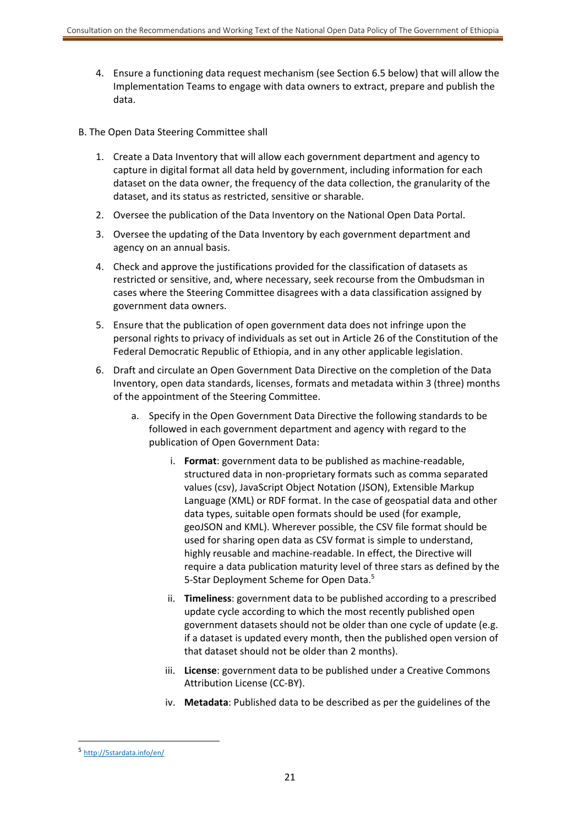- 4. Ensure a functioning data request mechanism (see Section 6.5 below) that will allow the Implementation Teams to engage with data owners to extract, prepare and publish the data.
- B. The Open Data Steering Committee shall
	- 1. Create a Data Inventory that will allow each government department and agency to capture in digital format all data held by government, including information for each dataset on the data owner, the frequency of the data collection, the granularity of the dataset, and its status as restricted, sensitive or sharable.
	- 2. Oversee the publication of the Data Inventory on the National Open Data Portal.
	- 3. Oversee the updating of the Data Inventory by each government department and agency on an annual basis.
	- 4. Check and approve the justifications provided for the classification of datasets as restricted or sensitive, and, where necessary, seek recourse from the Ombudsman in cases where the Steering Committee disagrees with a data classification assigned by government data owners.
	- 5. Ensure that the publication of open government data does not infringe upon the personal rights to privacy of individuals as set out in Article 26 of the Constitution of the Federal Democratic Republic of Ethiopia, and in any other applicable legislation.
	- 6. Draft and circulate an Open Government Data Directive on the completion of the Data Inventory, open data standards, licenses, formats and metadata within 3 (three) months of the appointment of the Steering Committee.
		- a. Specify in the Open Government Data Directive the following standards to be followed in each government department and agency with regard to the publication of Open Government Data:
			- i. **Format**: government data to be published as machine‐readable, structured data in non‐proprietary formats such as comma separated values (csv), JavaScript Object Notation (JSON), Extensible Markup Language (XML) or RDF format. In the case of geospatial data and other data types, suitable open formats should be used (for example, geoJSON and KML). Wherever possible, the CSV file format should be used for sharing open data as CSV format is simple to understand, highly reusable and machine‐readable. In effect, the Directive will require a data publication maturity level of three stars as defined by the 5-Star Deployment Scheme for Open Data.<sup>5</sup>
			- ii. **Timeliness**: government data to be published according to a prescribed update cycle according to which the most recently published open government datasets should not be older than one cycle of update (e.g. if a dataset is updated every month, then the published open version of that dataset should not be older than 2 months).
			- iii. **License**: government data to be published under a Creative Commons Attribution License (CC‐BY).
			- iv. **Metadata**: Published data to be described as per the guidelines of the

1

<sup>5</sup> http://5stardata.info/en/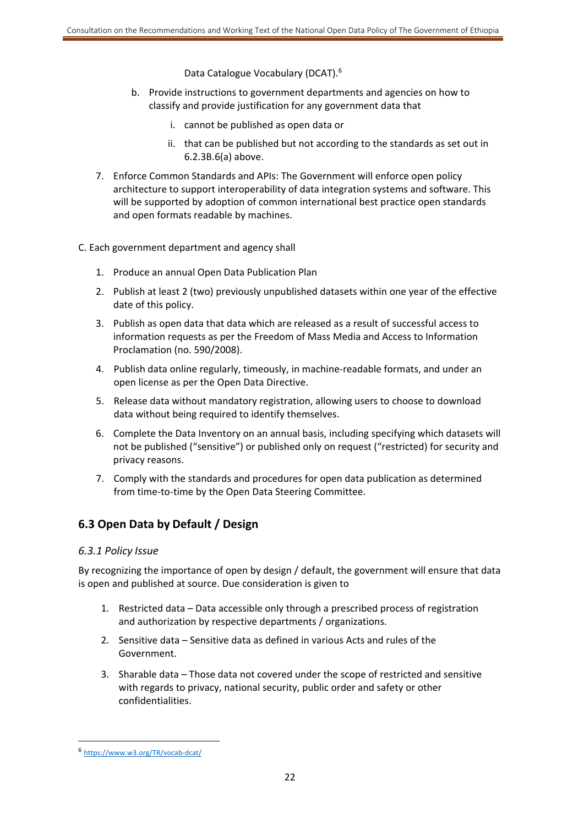Data Catalogue Vocabulary (DCAT).6

- b. Provide instructions to government departments and agencies on how to classify and provide justification for any government data that
	- i. cannot be published as open data or
	- ii. that can be published but not according to the standards as set out in 6.2.3B.6(a) above.
- 7. Enforce Common Standards and APIs: The Government will enforce open policy architecture to support interoperability of data integration systems and software. This will be supported by adoption of common international best practice open standards and open formats readable by machines.

C. Each government department and agency shall

- 1. Produce an annual Open Data Publication Plan
- 2. Publish at least 2 (two) previously unpublished datasets within one year of the effective date of this policy.
- 3. Publish as open data that data which are released as a result of successful access to information requests as per the Freedom of Mass Media and Access to Information Proclamation (no. 590/2008).
- 4. Publish data online regularly, timeously, in machine‐readable formats, and under an open license as per the Open Data Directive.
- 5. Release data without mandatory registration, allowing users to choose to download data without being required to identify themselves.
- 6. Complete the Data Inventory on an annual basis, including specifying which datasets will not be published ("sensitive") or published only on request ("restricted) for security and privacy reasons.
- 7. Comply with the standards and procedures for open data publication as determined from time-to-time by the Open Data Steering Committee.

## **6.3 Open Data by Default / Design**

#### *6.3.1 Policy Issue*

By recognizing the importance of open by design / default, the government will ensure that data is open and published at source. Due consideration is given to

- 1. Restricted data Data accessible only through a prescribed process of registration and authorization by respective departments / organizations.
- 2. Sensitive data Sensitive data as defined in various Acts and rules of the Government.
- 3. Sharable data Those data not covered under the scope of restricted and sensitive with regards to privacy, national security, public order and safety or other confidentialities.

1

<sup>6</sup> https://www.w3.org/TR/vocab‐dcat/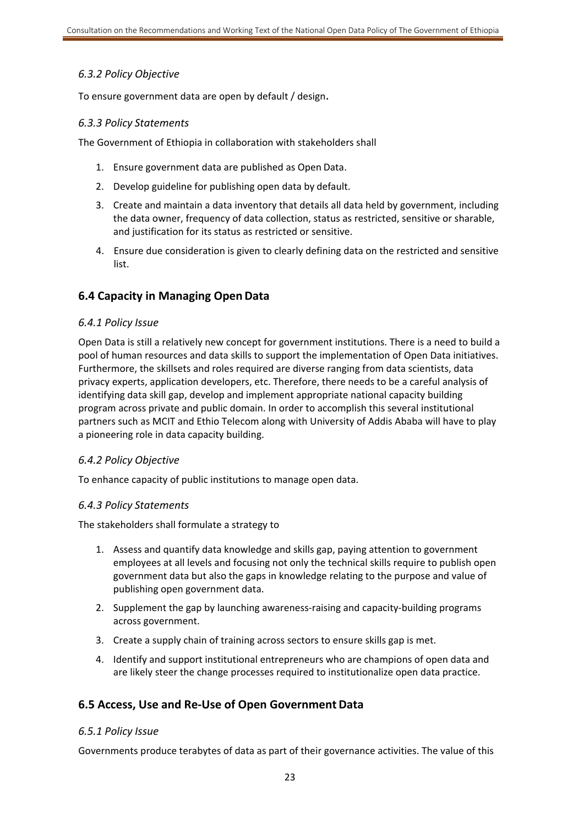## *6.3.2 Policy Objective*

To ensure government data are open by default / design.

#### *6.3.3 Policy Statements*

The Government of Ethiopia in collaboration with stakeholders shall

- 1. Ensure government data are published as Open Data.
- 2. Develop guideline for publishing open data by default.
- 3. Create and maintain a data inventory that details all data held by government, including the data owner, frequency of data collection, status as restricted, sensitive or sharable, and justification for its status as restricted or sensitive.
- 4. Ensure due consideration is given to clearly defining data on the restricted and sensitive list.

## **6.4 Capacity in Managing Open Data**

#### *6.4.1 Policy Issue*

Open Data is still a relatively new concept for government institutions. There is a need to build a pool of human resources and data skills to support the implementation of Open Data initiatives. Furthermore, the skillsets and roles required are diverse ranging from data scientists, data privacy experts, application developers, etc. Therefore, there needs to be a careful analysis of identifying data skill gap, develop and implement appropriate national capacity building program across private and public domain. In order to accomplish this several institutional partners such as MCIT and Ethio Telecom along with University of Addis Ababa will have to play a pioneering role in data capacity building.

#### *6.4.2 Policy Objective*

To enhance capacity of public institutions to manage open data.

#### *6.4.3 Policy Statements*

The stakeholders shall formulate a strategy to

- 1. Assess and quantify data knowledge and skills gap, paying attention to government employees at all levels and focusing not only the technical skills require to publish open government data but also the gaps in knowledge relating to the purpose and value of publishing open government data.
- 2. Supplement the gap by launching awareness-raising and capacity-building programs across government.
- 3. Create a supply chain of training across sectors to ensure skills gap is met.
- 4. Identify and support institutional entrepreneurs who are champions of open data and are likely steer the change processes required to institutionalize open data practice.

## **6.5 Access, Use and Re‐Use of Open Government Data**

#### *6.5.1 Policy Issue*

Governments produce terabytes of data as part of their governance activities. The value of this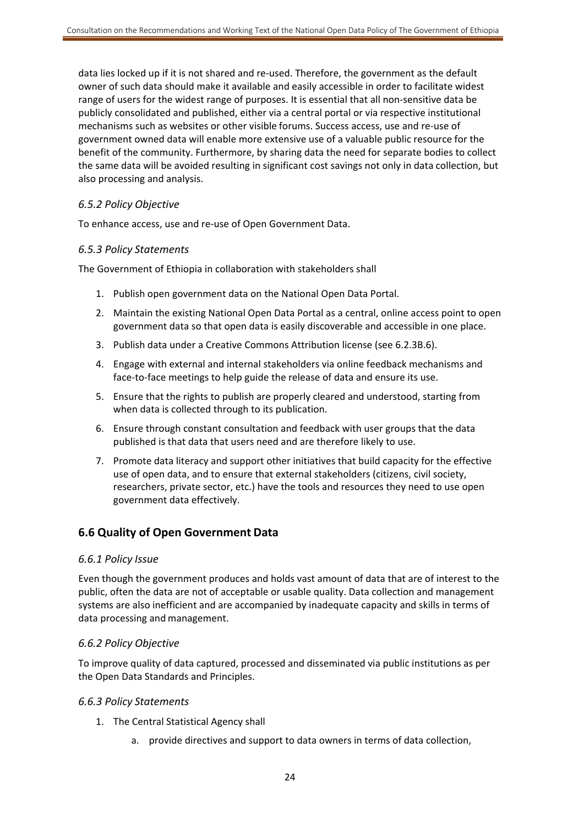data lies locked up if it is not shared and re‐used. Therefore, the government as the default owner of such data should make it available and easily accessible in order to facilitate widest range of users for the widest range of purposes. It is essential that all non-sensitive data be publicly consolidated and published, either via a central portal or via respective institutional mechanisms such as websites or other visible forums. Success access, use and re‐use of government owned data will enable more extensive use of a valuable public resource for the benefit of the community. Furthermore, by sharing data the need for separate bodies to collect the same data will be avoided resulting in significant cost savings not only in data collection, but also processing and analysis.

#### *6.5.2 Policy Objective*

To enhance access, use and re‐use of Open Government Data.

#### *6.5.3 Policy Statements*

The Government of Ethiopia in collaboration with stakeholders shall

- 1. Publish open government data on the National Open Data Portal.
- 2. Maintain the existing National Open Data Portal as a central, online access point to open government data so that open data is easily discoverable and accessible in one place.
- 3. Publish data under a Creative Commons Attribution license (see 6.2.3B.6).
- 4. Engage with external and internal stakeholders via online feedback mechanisms and face-to-face meetings to help guide the release of data and ensure its use.
- 5. Ensure that the rights to publish are properly cleared and understood, starting from when data is collected through to its publication.
- 6. Ensure through constant consultation and feedback with user groups that the data published is that data that users need and are therefore likely to use.
- 7. Promote data literacy and support other initiatives that build capacity for the effective use of open data, and to ensure that external stakeholders (citizens, civil society, researchers, private sector, etc.) have the tools and resources they need to use open government data effectively.

#### **6.6 Quality of Open Government Data**

#### *6.6.1 Policy Issue*

Even though the government produces and holds vast amount of data that are of interest to the public, often the data are not of acceptable or usable quality. Data collection and management systems are also inefficient and are accompanied by inadequate capacity and skills in terms of data processing and management.

#### *6.6.2 Policy Objective*

To improve quality of data captured, processed and disseminated via public institutions as per the Open Data Standards and Principles.

#### *6.6.3 Policy Statements*

- 1. The Central Statistical Agency shall
	- a. provide directives and support to data owners in terms of data collection,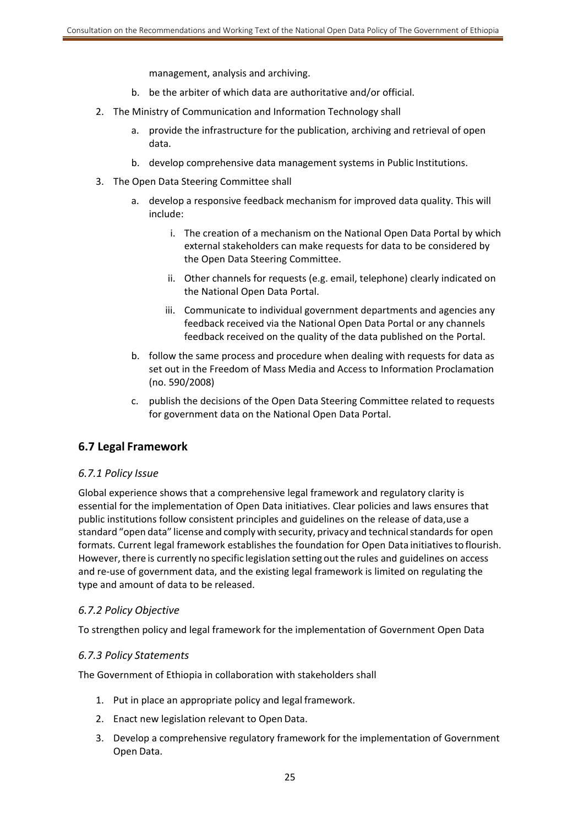management, analysis and archiving.

- b. be the arbiter of which data are authoritative and/or official.
- 2. The Ministry of Communication and Information Technology shall
	- a. provide the infrastructure for the publication, archiving and retrieval of open data.
	- b. develop comprehensive data management systems in Public Institutions.
- 3. The Open Data Steering Committee shall
	- a. develop a responsive feedback mechanism for improved data quality. This will include:
		- i. The creation of a mechanism on the National Open Data Portal by which external stakeholders can make requests for data to be considered by the Open Data Steering Committee.
		- ii. Other channels for requests (e.g. email, telephone) clearly indicated on the National Open Data Portal.
		- iii. Communicate to individual government departments and agencies any feedback received via the National Open Data Portal or any channels feedback received on the quality of the data published on the Portal.
	- b. follow the same process and procedure when dealing with requests for data as set out in the Freedom of Mass Media and Access to Information Proclamation (no. 590/2008)
	- c. publish the decisions of the Open Data Steering Committee related to requests for government data on the National Open Data Portal.

## **6.7 Legal Framework**

#### *6.7.1 Policy Issue*

Global experience shows that a comprehensive legal framework and regulatory clarity is essential for the implementation of Open Data initiatives. Clear policies and laws ensures that public institutions follow consistent principles and guidelines on the release of data, use a standard "open data" license and comply with security, privacy and technical standards for open formats. Current legal framework establishes the foundation for Open Data initiatives to flourish. However, there is currently no specific legislation setting out the rules and guidelines on access and re-use of government data, and the existing legal framework is limited on regulating the type and amount of data to be released.

#### *6.7.2 Policy Objective*

To strengthen policy and legal framework for the implementation of Government Open Data

#### *6.7.3 Policy Statements*

The Government of Ethiopia in collaboration with stakeholders shall

- 1. Put in place an appropriate policy and legal framework.
- 2. Enact new legislation relevant to Open Data.
- 3. Develop a comprehensive regulatory framework for the implementation of Government Open Data.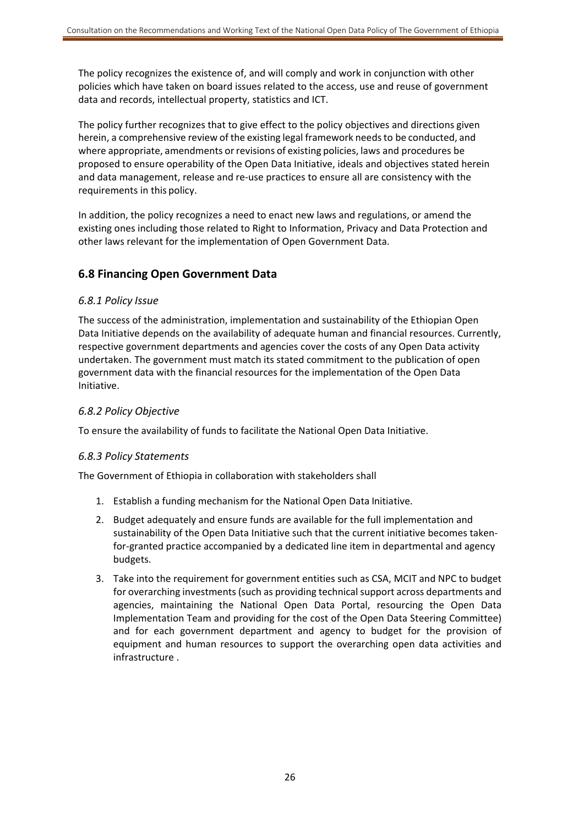The policy recognizes the existence of, and will comply and work in conjunction with other policies which have taken on board issues related to the access, use and reuse of government data and records, intellectual property, statistics and ICT.

The policy further recognizes that to give effect to the policy objectives and directions given herein, a comprehensive review of the existing legal framework needs to be conducted, and where appropriate, amendments or revisions of existing policies, laws and procedures be proposed to ensure operability of the Open Data Initiative, ideals and objectives stated herein and data management, release and re‐use practices to ensure all are consistency with the requirements in this policy.

In addition, the policy recognizes a need to enact new laws and regulations, or amend the existing ones including those related to Right to Information, Privacy and Data Protection and other laws relevant for the implementation of Open Government Data.

## **6.8 Financing Open Government Data**

#### *6.8.1 Policy Issue*

The success of the administration, implementation and sustainability of the Ethiopian Open Data Initiative depends on the availability of adequate human and financial resources. Currently, respective government departments and agencies cover the costs of any Open Data activity undertaken. The government must match its stated commitment to the publication of open government data with the financial resources for the implementation of the Open Data Initiative.

### *6.8.2 Policy Objective*

To ensure the availability of funds to facilitate the National Open Data Initiative.

## *6.8.3 Policy Statements*

The Government of Ethiopia in collaboration with stakeholders shall

- 1. Establish a funding mechanism for the National Open Data Initiative.
- 2. Budget adequately and ensure funds are available for the full implementation and sustainability of the Open Data Initiative such that the current initiative becomes taken‐ for‐granted practice accompanied by a dedicated line item in departmental and agency budgets.
- 3. Take into the requirement for government entities such as CSA, MCIT and NPC to budget for overarching investments (such as providing technical support across departments and agencies, maintaining the National Open Data Portal, resourcing the Open Data Implementation Team and providing for the cost of the Open Data Steering Committee) and for each government department and agency to budget for the provision of equipment and human resources to support the overarching open data activities and infrastructure .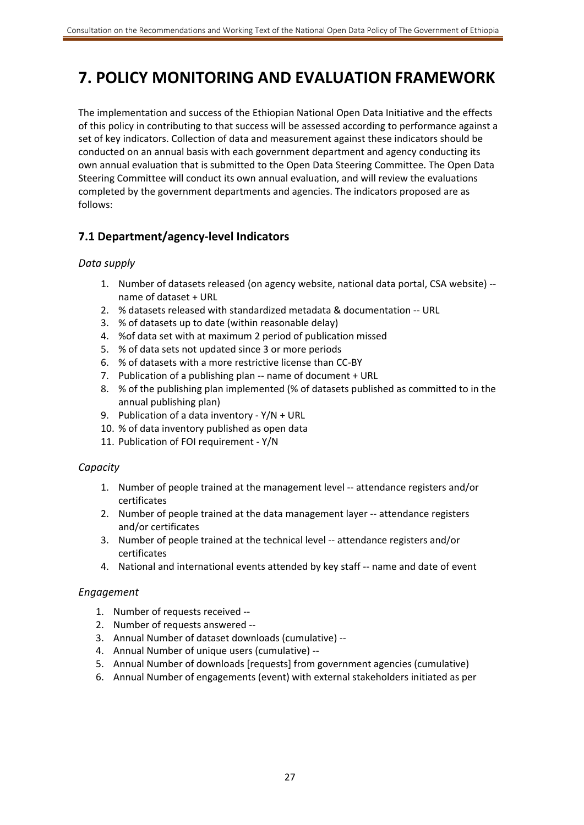## **7. POLICY MONITORING AND EVALUATION FRAMEWORK**

The implementation and success of the Ethiopian National Open Data Initiative and the effects of this policy in contributing to that success will be assessed according to performance against a set of key indicators. Collection of data and measurement against these indicators should be conducted on an annual basis with each government department and agency conducting its own annual evaluation that is submitted to the Open Data Steering Committee. The Open Data Steering Committee will conduct its own annual evaluation, and will review the evaluations completed by the government departments and agencies. The indicators proposed are as follows:

## **7.1 Department/agency‐level Indicators**

## *Data supply*

- 1. Number of datasets released (on agency website, national data portal, CSA website) ‐‐ name of dataset + URL
- 2. % datasets released with standardized metadata & documentation ‐‐ URL
- 3. % of datasets up to date (within reasonable delay)
- 4. %of data set with at maximum 2 period of publication missed
- 5. % of data sets not updated since 3 or more periods
- 6. % of datasets with a more restrictive license than CC‐BY
- 7. Publication of a publishing plan ‐‐ name of document + URL
- 8. % of the publishing plan implemented (% of datasets published as committed to in the annual publishing plan)
- 9. Publication of a data inventory Y/N + URL
- 10. % of data inventory published as open data
- 11. Publication of FOI requirement ‐ Y/N

## *Capacity*

- 1. Number of people trained at the management level ‐‐ attendance registers and/or certificates
- 2. Number of people trained at the data management layer -- attendance registers and/or certificates
- 3. Number of people trained at the technical level ‐‐ attendance registers and/or certificates
- 4. National and international events attended by key staff ‐‐ name and date of event

#### *Engagement*

- 1. Number of requests received ‐‐
- 2. Number of requests answered ‐‐
- 3. Annual Number of dataset downloads (cumulative) ‐‐
- 4. Annual Number of unique users (cumulative) ‐‐
- 5. Annual Number of downloads [requests] from government agencies (cumulative)
- 6. Annual Number of engagements (event) with external stakeholders initiated as per